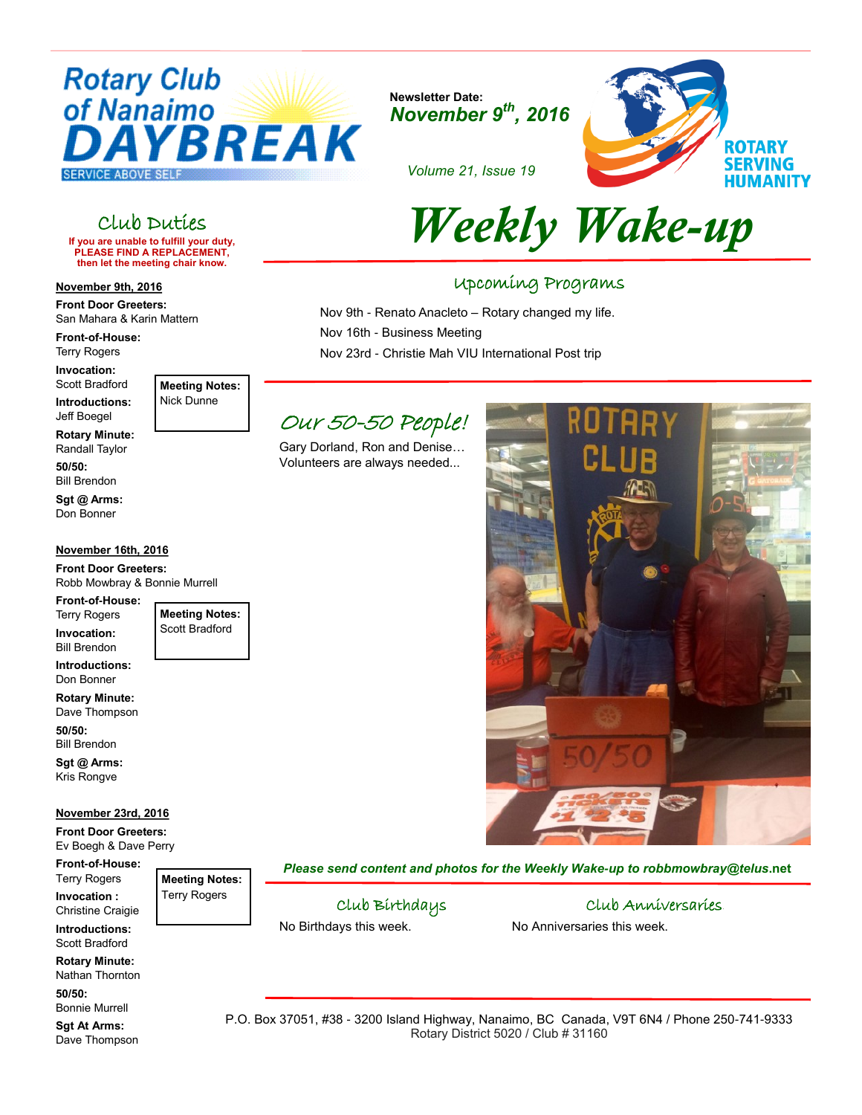

**Newsletter Date:** *November 9th, 2016*



*Volume 21, Issue 19*

Nov 9th - Renato Anacleto – Rotary changed my life.

Nov 23rd - Christie Mah VIU International Post trip

Upcoming Programs

# Club Duties

**If you are unable to fulfill your duty, PLEASE FIND A REPLACEMENT, then let the meeting chair know.** 

# **November 9th, 2016**

**Front Door Greeters:**  San Mahara & Karin Mattern

**Front-of-House:** Terry Rogers

**Invocation:**  Scott Bradford

**Introductions:** Jeff Boegel

**Meeting Notes:** Nick Dunne

**Rotary Minute:** Randall Taylor

**50/50:** Bill Brendon

**Sgt @ Arms:** Don Bonner

## **November 16th, 2016**

**Front Door Greeters:**  Robb Mowbray & Bonnie Murrell

**Front-of-House:** Terry Rogers

**Invocation:** 

Bill Brendon **Introductions:**

Don Bonner **Rotary Minute:**

Dave Thompson **50/50:**

Bill Brendon **Sgt @ Arms:**

Kris Rongve

### **November 23rd, 2016**

**Front Door Greeters:** Ev Boegh & Dave Perry

**Front-of-House:** Terry Rogers **Invocation :** Christine Craigie

**Introductions:** Scott Bradford

**Rotary Minute:** Nathan Thornton **50/50:**

Bonnie Murrell

**Sgt At Arms:** Dave Thompson

Our 50-50 People!

Volunteers are always needed...

Nov 16th - Business Meeting

Gary Dorland, Ron and Denise…

*Please send content and photos for the Weekly Wake-up to robbmowbray@telus***.net**

Club Birthdays

No Birthdays this week.

Club Anniversaries. No Anniversaries this week.

P.O. Box 37051, #38 - 3200 Island Highway, Nanaimo, BC Canada, V9T 6N4 / Phone 250-741-9333 Rotary District 5020 / Club # 31160



**Meeting Notes:** Terry Rogers